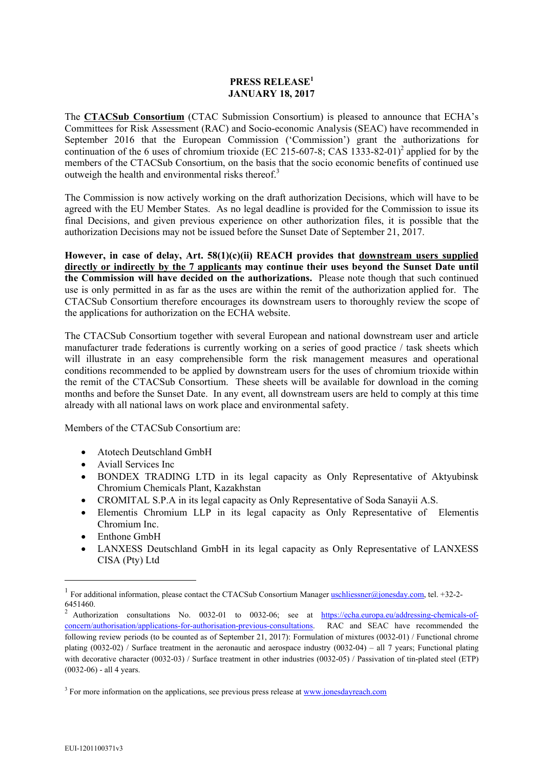## **PRESS RELEASE<sup>1</sup> JANUARY 18, 2017**

The **CTACSub Consortium** (CTAC Submission Consortium) is pleased to announce that ECHA's Committees for Risk Assessment (RAC) and Socio-economic Analysis (SEAC) have recommended in September 2016 that the European Commission ('Commission') grant the authorizations for continuation of the 6 uses of chromium trioxide (EC 215-607-8; CAS 1333-82-01)<sup>2</sup> applied for by the members of the CTACSub Consortium, on the basis that the socio economic benefits of continued use outweigh the health and environmental risks thereof. $3$ 

The Commission is now actively working on the draft authorization Decisions, which will have to be agreed with the EU Member States. As no legal deadline is provided for the Commission to issue its final Decisions, and given previous experience on other authorization files, it is possible that the authorization Decisions may not be issued before the Sunset Date of September 21, 2017.

**However, in case of delay, Art. 58(1)(c)(ii) REACH provides that downstream users supplied directly or indirectly by the 7 applicants may continue their uses beyond the Sunset Date until the Commission will have decided on the authorizations.** Please note though that such continued use is only permitted in as far as the uses are within the remit of the authorization applied for. The CTACSub Consortium therefore encourages its downstream users to thoroughly review the scope of the applications for authorization on the ECHA website.

The CTACSub Consortium together with several European and national downstream user and article manufacturer trade federations is currently working on a series of good practice / task sheets which will illustrate in an easy comprehensible form the risk management measures and operational conditions recommended to be applied by downstream users for the uses of chromium trioxide within the remit of the CTACSub Consortium. These sheets will be available for download in the coming months and before the Sunset Date. In any event, all downstream users are held to comply at this time already with all national laws on work place and environmental safety.

Members of the CTACSub Consortium are:

- Atotech Deutschland GmbH
- Aviall Services Inc
- BONDEX TRADING LTD in its legal capacity as Only Representative of Aktyubinsk Chromium Chemicals Plant, Kazakhstan
- CROMITAL S.P.A in its legal capacity as Only Representative of Soda Sanayii A.S.
- Elementis Chromium LLP in its legal capacity as Only Representative of Elementis Chromium Inc.
- Enthone GmbH
- LANXESS Deutschland GmbH in its legal capacity as Only Representative of LANXESS CISA (Pty) Ltd

 $\overline{\phantom{a}}$ 

<sup>&</sup>lt;sup>1</sup> For additional information, please contact the CTACSub Consortium Manager **uschliessner@jonesday.com**, tel. +32-2-6451460.

Authorization consultations No. 0032-01 to 0032-06; see at https://echa.europa.eu/addressing-chemicals-ofconcern/authorisation/applications-for-authorisation-previous-consultations. RAC and SEAC have recommended the following review periods (to be counted as of September 21, 2017): Formulation of mixtures (0032-01) / Functional chrome plating (0032-02) / Surface treatment in the aeronautic and aerospace industry (0032-04) – all 7 years; Functional plating with decorative character (0032-03) / Surface treatment in other industries (0032-05) / Passivation of tin-plated steel (ETP) (0032-06) - all 4 years.

<sup>&</sup>lt;sup>3</sup> For more information on the applications, see previous press release at **www.jonesdayreach.com**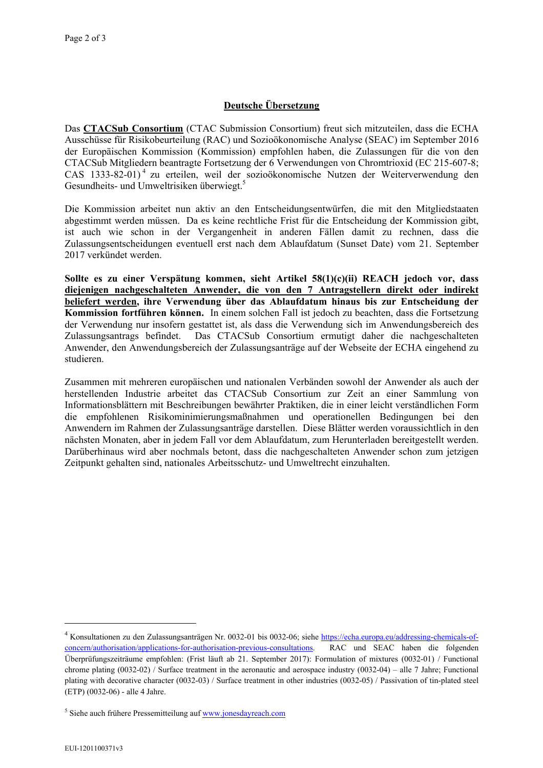## **Deutsche Übersetzung**

Das **CTACSub Consortium** (CTAC Submission Consortium) freut sich mitzuteilen, dass die ECHA Ausschüsse für Risikobeurteilung (RAC) und Sozioökonomische Analyse (SEAC) im September 2016 der Europäischen Kommission (Kommission) empfohlen haben, die Zulassungen für die von den CTACSub Mitgliedern beantragte Fortsetzung der 6 Verwendungen von Chromtrioxid (EC 215-607-8; CAS 1333-82-01) 4 zu erteilen, weil der sozioökonomische Nutzen der Weiterverwendung den Gesundheits- und Umweltrisiken überwiegt.<sup>5</sup>

Die Kommission arbeitet nun aktiv an den Entscheidungsentwürfen, die mit den Mitgliedstaaten abgestimmt werden müssen. Da es keine rechtliche Frist für die Entscheidung der Kommission gibt, ist auch wie schon in der Vergangenheit in anderen Fällen damit zu rechnen, dass die Zulassungsentscheidungen eventuell erst nach dem Ablaufdatum (Sunset Date) vom 21. September 2017 verkündet werden.

**Sollte es zu einer Verspätung kommen, sieht Artikel 58(1)(c)(ii) REACH jedoch vor, dass diejenigen nachgeschalteten Anwender, die von den 7 Antragstellern direkt oder indirekt beliefert werden, ihre Verwendung über das Ablaufdatum hinaus bis zur Entscheidung der Kommission fortführen können.** In einem solchen Fall ist jedoch zu beachten, dass die Fortsetzung der Verwendung nur insofern gestattet ist, als dass die Verwendung sich im Anwendungsbereich des Zulassungsantrags befindet. Das CTACSub Consortium ermutigt daher die nachgeschalteten Anwender, den Anwendungsbereich der Zulassungsanträge auf der Webseite der ECHA eingehend zu studieren.

Zusammen mit mehreren europäischen und nationalen Verbänden sowohl der Anwender als auch der herstellenden Industrie arbeitet das CTACSub Consortium zur Zeit an einer Sammlung von Informationsblättern mit Beschreibungen bewährter Praktiken, die in einer leicht verständlichen Form die empfohlenen Risikominimierungsmaßnahmen und operationellen Bedingungen bei den Anwendern im Rahmen der Zulassungsanträge darstellen. Diese Blätter werden voraussichtlich in den nächsten Monaten, aber in jedem Fall vor dem Ablaufdatum, zum Herunterladen bereitgestellt werden. Darüberhinaus wird aber nochmals betont, dass die nachgeschalteten Anwender schon zum jetzigen Zeitpunkt gehalten sind, nationales Arbeitsschutz- und Umweltrecht einzuhalten.

l

<sup>&</sup>lt;sup>4</sup> Konsultationen zu den Zulassungsanträgen Nr. 0032-01 bis 0032-06; siehe https://echa.europa.eu/addressing-chemicals-ofconcern/authorisation/applications-for-authorisation-previous-consultations. RAC und SEAC haben die folgenden Überprüfungszeiträume empfohlen: (Frist läuft ab 21. September 2017): Formulation of mixtures (0032-01) / Functional chrome plating (0032-02) / Surface treatment in the aeronautic and aerospace industry (0032-04) – alle 7 Jahre; Functional plating with decorative character (0032-03) / Surface treatment in other industries (0032-05) / Passivation of tin-plated steel (ETP) (0032-06) - alle 4 Jahre.

<sup>&</sup>lt;sup>5</sup> Siehe auch frühere Pressemitteilung auf www.jonesdayreach.com